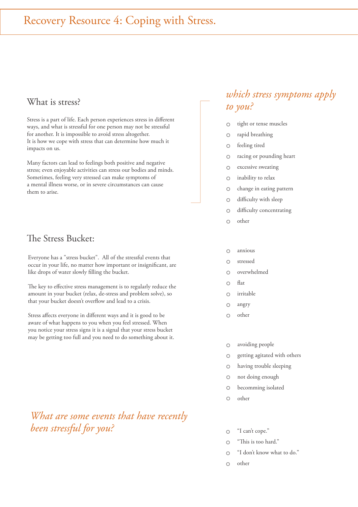## What is stress?<br>
to you?

Stress is a part of life. Each person experiences stress in different ways, and what is stressful for one person may not be stressful for another. It is impossible to avoid stress altogether. It is how we cope with stress that can determine how much it impacts on us.

Many factors can lead to feelings both positive and negative stress; even enjoyable activities can stress our bodies and minds. Sometimes, feeling very stressed can make symptoms of a mental illness worse, or in severe circumstances can cause them to arise.

#### The Stress Bucket:

Everyone has a "stress bucket". All of the stressful events that occur in your life, no matter how important or insignificant, are like drops of water slowly filling the bucket.

The key to effective stress management is to regularly reduce the amount in your bucket (relax, de-stress and problem solve), so that your bucket doesn't overflow and lead to a crisis.

Stress affects everyone in different ways and it is good to be aware of what happens to you when you feel stressed. When you notice your stress signs it is a signal that your stress bucket may be getting too full and you need to do something about it.

### *What are some events that have recently been stressful for you?*

## *which stress symptoms apply*

- tight or tense muscles  $\circ$
- $\circ$ rapid breathing
- feeling tired  $\circ$
- racing or pounding heart  $\circ$
- $\circ$ excessive sweating
- inability to relax  $\bigcirc$
- $\circ$ change in eating pattern
- difficulty with sleep  $\circ$
- difficulty concentrating  $\bigcirc$
- $\overline{O}$ other
- anxious  $\bigcirc$
- stressed  $\overline{O}$
- $\circ$ overwhelmed
- flat  $\bigcap$
- irritable  $\Omega$
- $\circ$ angry
- other  $\bigcap$
- $\circ$ avoiding people
- getting agitated with others  $\circ$
- having trouble sleeping  $\circ$
- not doing enough  $\circ$
- $\circ$ becomming isolated
- $\circ$ other
- "I can't cope."  $\bigcap$
- "This is too hard."  $\cap$
- "I don't know what to do."  $\bigcap$
- other  $\circ$